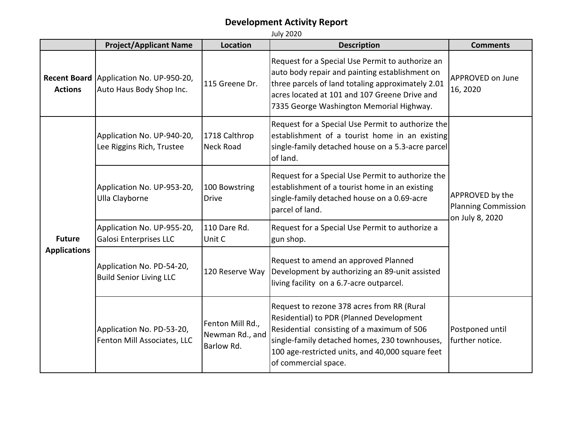|                                      | <b>Project/Applicant Name</b>                                       | <b>Location</b>                                   | <b>Description</b>                                                                                                                                                                                                                                                | <b>Comments</b>                                                  |
|--------------------------------------|---------------------------------------------------------------------|---------------------------------------------------|-------------------------------------------------------------------------------------------------------------------------------------------------------------------------------------------------------------------------------------------------------------------|------------------------------------------------------------------|
| <b>Actions</b>                       | Recent Board Application No. UP-950-20,<br>Auto Haus Body Shop Inc. | 115 Greene Dr.                                    | Request for a Special Use Permit to authorize an<br>auto body repair and painting establishment on<br>three parcels of land totaling approximately 2.01<br>acres located at 101 and 107 Greene Drive and<br>7335 George Washington Memorial Highway.              | APPROVED on June<br>16, 2020                                     |
| <b>Future</b><br><b>Applications</b> | Application No. UP-940-20,<br>Lee Riggins Rich, Trustee             | 1718 Calthrop<br><b>Neck Road</b>                 | Request for a Special Use Permit to authorize the<br>establishment of a tourist home in an existing<br>single-family detached house on a 5.3-acre parcel<br>of land.                                                                                              | APPROVED by the<br><b>Planning Commission</b><br>on July 8, 2020 |
|                                      | Application No. UP-953-20,<br>Ulla Clayborne                        | 100 Bowstring<br><b>Drive</b>                     | Request for a Special Use Permit to authorize the<br>establishment of a tourist home in an existing<br>single-family detached house on a 0.69-acre<br>parcel of land.                                                                                             |                                                                  |
|                                      | Application No. UP-955-20,<br>Galosi Enterprises LLC                | 110 Dare Rd.<br>Unit C                            | Request for a Special Use Permit to authorize a<br>gun shop.                                                                                                                                                                                                      |                                                                  |
|                                      | Application No. PD-54-20,<br><b>Build Senior Living LLC</b>         | 120 Reserve Way                                   | Request to amend an approved Planned<br>Development by authorizing an 89-unit assisted<br>living facility on a 6.7-acre outparcel.                                                                                                                                |                                                                  |
|                                      | Application No. PD-53-20,<br>Fenton Mill Associates, LLC            | Fenton Mill Rd.,<br>Newman Rd., and<br>Barlow Rd. | Request to rezone 378 acres from RR (Rural<br>Residential) to PDR (Planned Development<br>Residential consisting of a maximum of 506<br>single-family detached homes, 230 townhouses,<br>100 age-restricted units, and 40,000 square feet<br>of commercial space. | Postponed until<br>further notice.                               |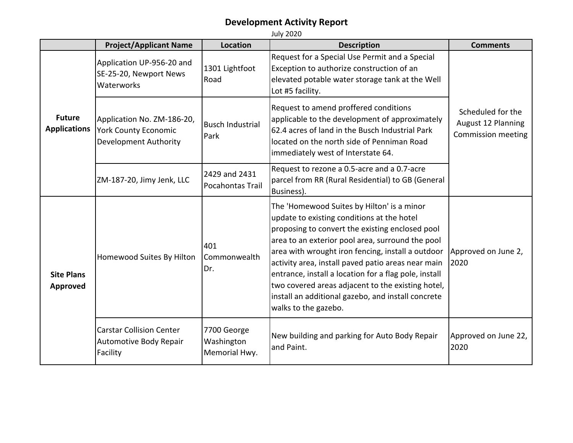|                                      | <b>Project/Applicant Name</b>                                                             | <b>Location</b>                            | <b>Description</b>                                                                                                                                                                                                                                                                                                                                                                                                                                                                                     | <b>Comments</b>                                               |
|--------------------------------------|-------------------------------------------------------------------------------------------|--------------------------------------------|--------------------------------------------------------------------------------------------------------------------------------------------------------------------------------------------------------------------------------------------------------------------------------------------------------------------------------------------------------------------------------------------------------------------------------------------------------------------------------------------------------|---------------------------------------------------------------|
| <b>Future</b><br><b>Applications</b> | Application UP-956-20 and<br>SE-25-20, Newport News<br>Waterworks                         | 1301 Lightfoot<br>Road                     | Request for a Special Use Permit and a Special<br>Exception to authorize construction of an<br>elevated potable water storage tank at the Well<br>Lot #5 facility.                                                                                                                                                                                                                                                                                                                                     |                                                               |
|                                      | Application No. ZM-186-20,<br><b>York County Economic</b><br><b>Development Authority</b> | <b>Busch Industrial</b><br>Park            | Request to amend proffered conditions<br>applicable to the development of approximately<br>62.4 acres of land in the Busch Industrial Park<br>located on the north side of Penniman Road<br>immediately west of Interstate 64.                                                                                                                                                                                                                                                                         | Scheduled for the<br>August 12 Planning<br>Commission meeting |
|                                      | ZM-187-20, Jimy Jenk, LLC                                                                 | 2429 and 2431<br>Pocahontas Trail          | Request to rezone a 0.5-acre and a 0.7-acre<br>parcel from RR (Rural Residential) to GB (General<br>Business).                                                                                                                                                                                                                                                                                                                                                                                         |                                                               |
| <b>Site Plans</b><br>Approved        | Homewood Suites By Hilton                                                                 | 401<br>Commonwealth<br>Dr.                 | The 'Homewood Suites by Hilton' is a minor<br>update to existing conditions at the hotel<br>proposing to convert the existing enclosed pool<br>area to an exterior pool area, surround the pool<br>area with wrought iron fencing, install a outdoor<br>activity area, install paved patio areas near main<br>entrance, install a location for a flag pole, install<br>two covered areas adjacent to the existing hotel,<br>install an additional gazebo, and install concrete<br>walks to the gazebo. | Approved on June 2,<br>2020                                   |
|                                      | <b>Carstar Collision Center</b><br>Automotive Body Repair<br>Facility                     | 7700 George<br>Washington<br>Memorial Hwy. | New building and parking for Auto Body Repair<br>and Paint.                                                                                                                                                                                                                                                                                                                                                                                                                                            | Approved on June 22,<br>2020                                  |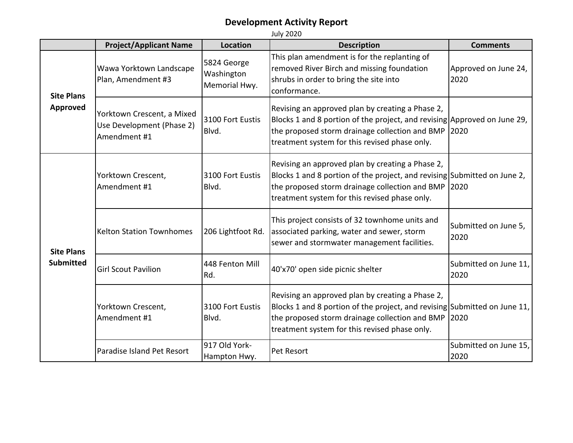|                                       | <b>Project/Applicant Name</b>                                           | <b>Location</b>                            | <b>Description</b>                                                                                                                                                                                                                   | <b>Comments</b>               |
|---------------------------------------|-------------------------------------------------------------------------|--------------------------------------------|--------------------------------------------------------------------------------------------------------------------------------------------------------------------------------------------------------------------------------------|-------------------------------|
| <b>Site Plans</b><br><b>Approved</b>  | Wawa Yorktown Landscape<br>Plan, Amendment #3                           | 5824 George<br>Washington<br>Memorial Hwy. | This plan amendment is for the replanting of<br>removed River Birch and missing foundation<br>shrubs in order to bring the site into<br>conformance.                                                                                 | Approved on June 24,<br>2020  |
|                                       | Yorktown Crescent, a Mixed<br>Use Development (Phase 2)<br>Amendment #1 | 3100 Fort Eustis<br>Blvd.                  | Revising an approved plan by creating a Phase 2,<br>Blocks 1 and 8 portion of the project, and revising Approved on June 29,<br>the proposed storm drainage collection and BMP 2020<br>treatment system for this revised phase only. |                               |
| <b>Site Plans</b><br><b>Submitted</b> | Yorktown Crescent,<br>Amendment #1                                      | 3100 Fort Eustis<br>Blvd.                  | Revising an approved plan by creating a Phase 2,<br>Blocks 1 and 8 portion of the project, and revising Submitted on June 2,<br>the proposed storm drainage collection and BMP 2020<br>treatment system for this revised phase only. |                               |
|                                       | <b>Kelton Station Townhomes</b>                                         | 206 Lightfoot Rd.                          | This project consists of 32 townhome units and<br>associated parking, water and sewer, storm<br>sewer and stormwater management facilities.                                                                                          | Submitted on June 5,<br>2020  |
|                                       | <b>Girl Scout Pavilion</b>                                              | 448 Fenton Mill<br>Rd.                     | 40'x70' open side picnic shelter                                                                                                                                                                                                     | Submitted on June 11,<br>2020 |
|                                       | Yorktown Crescent,<br>Amendment #1                                      | 3100 Fort Eustis<br>Blvd.                  | Revising an approved plan by creating a Phase 2,<br>Blocks 1 and 8 portion of the project, and revising Submitted on June 11,<br>the proposed storm drainage collection and BMP<br>treatment system for this revised phase only.     | 2020                          |
|                                       | Paradise Island Pet Resort                                              | 917 Old York-<br>Hampton Hwy.              | Pet Resort                                                                                                                                                                                                                           | Submitted on June 15,<br>2020 |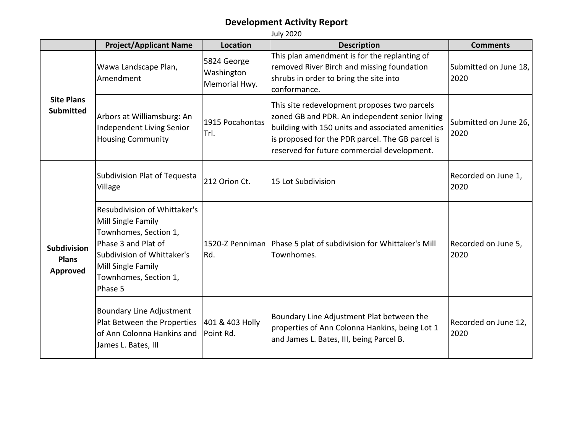**Project/Applicant Name Location Description Description Description Description** Wawa Landscape Plan, Amendment 5824 George Washington Memorial Hwy. This plan amendment is for the replanting of removed River Birch and missing foundation shrubs in order to bring the site into conformance. Submitted on June 18, 2020 Arbors at Williamsburg: An Independent Living Senior Housing Community 1915 Pocahontas Trl. This site redevelopment proposes two parcels zoned GB and PDR. An independent senior living building with 150 units and associated amenities is proposed for the PDR parcel. The GB parcel is reserved for future commercial development. Submitted on June 26, 2020 Subdivision Plat of Tequesta Subdivision Plat of Tequesta  $\begin{bmatrix} 212 & \text{Orion Ct.} \\ 212 & \text{Orion Ct.} \end{bmatrix}$  15 Lot Subdivision  $\begin{bmatrix} 2020 & \text{Oron of the 1} \\ 2020 & \text{Oron of the 2} \end{bmatrix}$ 2020 Resubdivision of Whittaker's Mill Single Family Townhomes, Section 1, Phase 3 and Plat of Subdivision of Whittaker's Mill Single Family Townhomes, Section 1, Phase 5 1520-Z Penniman Rd. Phase 5 plat of subdivision for Whittaker's Mill Townhomes. Recorded on June 5, 2020 Boundary Line Adjustment Plat Between the Properties of Ann Colonna Hankins and James L. Bates, III 401 & 403 Holly Point Rd. Boundary Line Adjustment Plat between the properties of Ann Colonna Hankins, being Lot 1 and James L. Bates, III, being Parcel B. Recorded on June 12, 2020 **Site Plans Submitted Subdivision Plans Approved**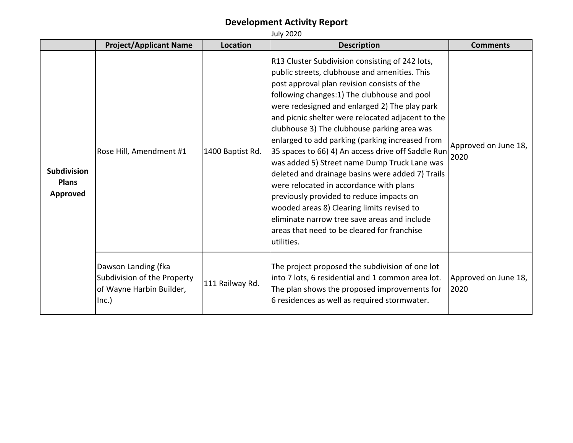|                                                       | <b>Project/Applicant Name</b>                                                           | Location         | <b>Description</b>                                                                                                                                                                                                                                                                                                                                                                                                                                                                                                                                                                                                                                                                                                                                                                                                  | <b>Comments</b>              |
|-------------------------------------------------------|-----------------------------------------------------------------------------------------|------------------|---------------------------------------------------------------------------------------------------------------------------------------------------------------------------------------------------------------------------------------------------------------------------------------------------------------------------------------------------------------------------------------------------------------------------------------------------------------------------------------------------------------------------------------------------------------------------------------------------------------------------------------------------------------------------------------------------------------------------------------------------------------------------------------------------------------------|------------------------------|
| <b>Subdivision</b><br><b>Plans</b><br><b>Approved</b> | Rose Hill, Amendment #1                                                                 | 1400 Baptist Rd. | R13 Cluster Subdivision consisting of 242 lots,<br>public streets, clubhouse and amenities. This<br>post approval plan revision consists of the<br>following changes: 1) The clubhouse and pool<br>were redesigned and enlarged 2) The play park<br>and picnic shelter were relocated adjacent to the<br>clubhouse 3) The clubhouse parking area was<br>enlarged to add parking (parking increased from<br>35 spaces to 66) 4) An access drive off Saddle Run<br>was added 5) Street name Dump Truck Lane was<br>deleted and drainage basins were added 7) Trails<br>were relocated in accordance with plans<br>previously provided to reduce impacts on<br>wooded areas 8) Clearing limits revised to<br>eliminate narrow tree save areas and include<br>areas that need to be cleared for franchise<br>utilities. | Approved on June 18,<br>2020 |
|                                                       | Dawson Landing (fka<br>Subdivision of the Property<br>of Wayne Harbin Builder,<br>Inc.) | 111 Railway Rd.  | The project proposed the subdivision of one lot<br>into 7 lots, 6 residential and 1 common area lot.<br>The plan shows the proposed improvements for<br>6 residences as well as required stormwater.                                                                                                                                                                                                                                                                                                                                                                                                                                                                                                                                                                                                                | Approved on June 18,<br>2020 |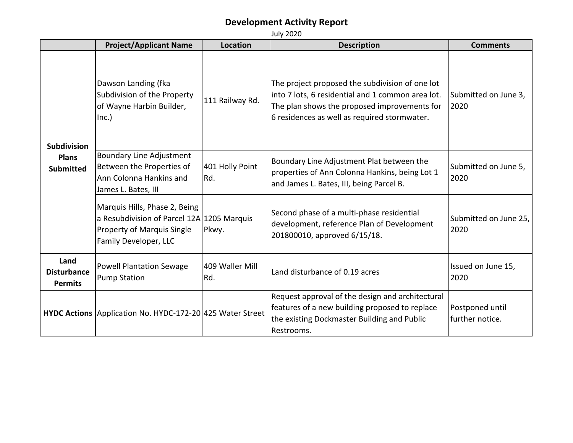| <b>July 2020</b>                                       |                                                                                                                                           |                        |                                                                                                                                                                                                      |                                    |
|--------------------------------------------------------|-------------------------------------------------------------------------------------------------------------------------------------------|------------------------|------------------------------------------------------------------------------------------------------------------------------------------------------------------------------------------------------|------------------------------------|
|                                                        | <b>Project/Applicant Name</b>                                                                                                             | Location               | <b>Description</b>                                                                                                                                                                                   | <b>Comments</b>                    |
| <b>Subdivision</b><br><b>Plans</b><br><b>Submitted</b> | Dawson Landing (fka<br>Subdivision of the Property<br>of Wayne Harbin Builder,<br>Inc.)                                                   | 111 Railway Rd.        | The project proposed the subdivision of one lot<br>into 7 lots, 6 residential and 1 common area lot.<br>The plan shows the proposed improvements for<br>6 residences as well as required stormwater. | Submitted on June 3,<br>2020       |
|                                                        | <b>Boundary Line Adjustment</b><br>Between the Properties of<br>Ann Colonna Hankins and<br>James L. Bates, III                            | 401 Holly Point<br>Rd. | Boundary Line Adjustment Plat between the<br>properties of Ann Colonna Hankins, being Lot 1<br>and James L. Bates, III, being Parcel B.                                                              | Submitted on June 5,<br>2020       |
|                                                        | Marquis Hills, Phase 2, Being<br>a Resubdivision of Parcel 12A 1205 Marquis<br><b>Property of Marquis Single</b><br>Family Developer, LLC | Pkwy.                  | Second phase of a multi-phase residential<br>development, reference Plan of Development<br>201800010, approved 6/15/18.                                                                              | Submitted on June 25,<br>2020      |
| Land<br><b>Disturbance</b><br><b>Permits</b>           | <b>Powell Plantation Sewage</b><br><b>Pump Station</b>                                                                                    | 409 Waller Mill<br>Rd. | Land disturbance of 0.19 acres                                                                                                                                                                       | Issued on June 15,<br>2020         |
|                                                        | HYDC Actions Application No. HYDC-172-20 425 Water Street                                                                                 |                        | Request approval of the design and architectural<br>features of a new building proposed to replace<br>the existing Dockmaster Building and Public<br>Restrooms.                                      | Postponed until<br>further notice. |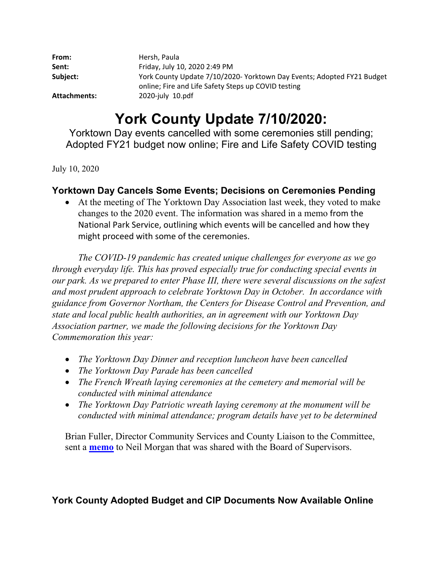| From:        | Hersh, Paula                                                                                                                  |
|--------------|-------------------------------------------------------------------------------------------------------------------------------|
| Sent:        | Friday, July 10, 2020 2:49 PM                                                                                                 |
| Subject:     | York County Update 7/10/2020- Yorktown Day Events; Adopted FY21 Budget<br>online; Fire and Life Safety Steps up COVID testing |
| Attachments: | 2020-july 10.pdf                                                                                                              |

# **York County Update 7/10/2020:**

Yorktown Day events cancelled with some ceremonies still pending; Adopted FY21 budget now online; Fire and Life Safety COVID testing

July 10, 2020

## **Yorktown Day Cancels Some Events; Decisions on Ceremonies Pending**

 At the meeting of The Yorktown Day Association last week, they voted to make changes to the 2020 event. The information was shared in a memo from the National Park Service, outlining which events will be cancelled and how they might proceed with some of the ceremonies.

*The COVID-19 pandemic has created unique challenges for everyone as we go through everyday life. This has proved especially true for conducting special events in our park. As we prepared to enter Phase III, there were several discussions on the safest and most prudent approach to celebrate Yorktown Day in October. In accordance with guidance from Governor Northam, the Centers for Disease Control and Prevention, and state and local public health authorities, an in agreement with our Yorktown Day Association partner, we made the following decisions for the Yorktown Day Commemoration this year:* 

- *The Yorktown Day Dinner and reception luncheon have been cancelled*
- *The Yorktown Day Parade has been cancelled*
- *The French Wreath laying ceremonies at the cemetery and memorial will be conducted with minimal attendance*
- *The Yorktown Day Patriotic wreath laying ceremony at the monument will be conducted with minimal attendance; program details have yet to be determined*

Brian Fuller, Director Community Services and County Liaison to the Committee, sent a **memo** to Neil Morgan that was shared with the Board of Supervisors.

## **York County Adopted Budget and CIP Documents Now Available Online**